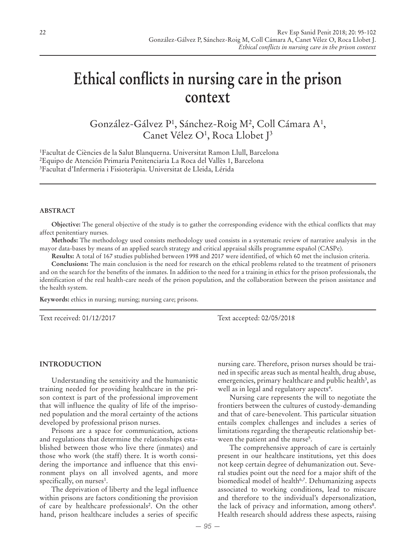# **Ethical conflicts in nursing care in the prison context**

González-Gálvez P<sup>1</sup>, Sánchez-Roig M<sup>2</sup>, Coll Cámara A<sup>1</sup>, Canet Vélez O<sup>1</sup>, Roca Llobet J<sup>3</sup>

1 Facultat de Ciències de la Salut Blanquerna. Universitat Ramon Llull, Barcelona 2 Equipo de Atención Primaria Penitenciaria La Roca del Vallès 1, Barcelona 3 Facultat d'Infermeria i Fisioteràpia. Universitat de Lleida, Lérida

#### **ABSTRACT**

**Objective:** The general objective of the study is to gather the corresponding evidence with the ethical conflicts that may affect penitentiary nurses.

**Methods:** The methodology used consists methodology used consists in a systematic review of narrative analysis in the mayor data-bases by means of an applied search strategy and critical appraisal skills programme español (CASPe).

**Results:** A total of 167 studies published between 1998 and 2017 were identified, of which 60 met the inclusion criteria.

**Conclusions:** The main conclusion is the need for research on the ethical problems related to the treatment of prisoners and on the search for the benefits of the inmates. In addition to the need for a training in ethics for the prison professionals, the identification of the real health-care needs of the prison population, and the collaboration between the prison assistance and the health system.

**Keywords:** ethics in nursing; nursing; nursing care; prisons.

Text received: 01/12/2017 Text accepted: 02/05/2018

### **INTRODUCTION**

Understanding the sensitivity and the humanistic training needed for providing healthcare in the prison context is part of the professional improvement that will influence the quality of life of the imprisoned population and the moral certainty of the actions developed by professional prison nurses.

Prisons are a space for communication, actions and regulations that determine the relationships established between those who live there (inmates) and those who work (the staff) there. It is worth considering the importance and influence that this environment plays on all involved agents, and more specifically, on nurses<sup>1</sup>.

The deprivation of liberty and the legal influence within prisons are factors conditioning the provision of care by healthcare professionals<sup>2</sup>. On the other hand, prison healthcare includes a series of specific

nursing care. Therefore, prison nurses should be trained in specific areas such as mental health, drug abuse, emergencies, primary healthcare and public health<sup>3</sup>, as well as in legal and regulatory aspects<sup>4</sup>.

Nursing care represents the will to negotiate the frontiers between the cultures of custody-demanding and that of care-benevolent. This particular situation entails complex challenges and includes a series of limitations regarding the therapeutic relationship between the patient and the nurse<sup>5</sup>.

The comprehensive approach of care is certainly present in our healthcare institutions, yet this does not keep certain degree of dehumanization out. Several studies point out the need for a major shift of the biomedical model of health<sup>6,7</sup>. Dehumanizing aspects associated to working conditions, lead to miscare and therefore to the individual's depersonalization, the lack of privacy and information, among others<sup>8</sup>. Health research should address these aspects, raising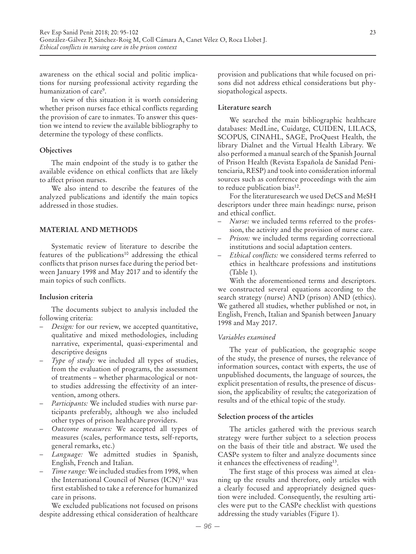awareness on the ethical social and politic implications for nursing professional activity regarding the humanization of care9 .

In view of this situation it is worth considering whether prison nurses face ethical conflicts regarding the provision of care to inmates. To answer this question we intend to review the available bibliography to determine the typology of these conflicts.

## **Objectives**

The main endpoint of the study is to gather the available evidence on ethical conflicts that are likely to affect prison nurses.

We also intend to describe the features of the analyzed publications and identify the main topics addressed in those studies.

## **MATERIAL AND METHODS**

Systematic review of literature to describe the features of the publications<sup>10</sup> addressing the ethical conflicts that prison nurses face during the period between January 1998 and May 2017 and to identify the main topics of such conflicts.

#### **Inclusion criteria**

The documents subject to analysis included the following criteria:

- *Design:* for our review, we accepted quantitative, qualitative and mixed methodologies, including narrative, experimental, quasi-experimental and descriptive designs
- *Type of study:* we included all types of studies, from the evaluation of programs, the assessment of treatments – whether pharmacological or notto studies addressing the effectivity of an intervention, among others.
- *Participants:* We included studies with nurse participants preferably, although we also included other types of prison healthcare providers.
- *Outcome measures:* We accepted all types of measures (scales, performance tests, self-reports, general remarks, etc.)
- *Language:* We admitted studies in Spanish, English, French and Italian.
- *Time range:* We included studies from 1998, when the International Council of Nurses  $(ICN)^{11}$  was first established to take a reference for humanized care in prisons.

We excluded publications not focused on prisons despite addressing ethical consideration of healthcare provision and publications that while focused on prisons did not address ethical considerations but physiopathological aspects.

### **Literature search**

We searched the main bibliographic healthcare databases: MedLine, Cuidatge, CUIDEN, LILACS, SCOPUS, CINAHL, SAGE, ProQuest Health, the library Dialnet and the Virtual Health Library. We also performed a manual search of the Spanish Journal of Prison Health (Revista Española de Sanidad Penitenciaria, RESP) and took into consideration informal sources such as conference proceedings with the aim to reduce publication bias<sup>12</sup>.

For the literaturesearch we used DeCS and MeSH descriptors under three main headings: nurse, prison and ethical conflict.

- *Nurse:* we included terms referred to the profession, the activity and the provision of nurse care.
- *Prison:* we included terms regarding correctional institutions and social adaptation centers.
- *Ethical conflicts:* we considered terms referred to ethics in healthcare professions and institutions (Table 1).

With the aforementioned terms and descriptors. we constructed several equations according to the search strategy (nurse) AND (prison) AND (ethics). We gathered all studies, whether published or not, in English, French, Italian and Spanish between January 1998 and May 2017.

## *Variables examined*

The year of publication, the geographic scope of the study, the presence of nurses, the relevance of information sources, contact with experts, the use of unpublished documents, the language of sources, the explicit presentation of results, the presence of discussion, the applicability of results; the categorization of results and of the ethical topic of the study.

#### **Selection process of the articles**

The articles gathered with the previous search strategy were further subject to a selection process on the basis of their title and abstract. We used the CASPe system to filter and analyze documents since it enhances the effectiveness of reading13.

The first stage of this process was aimed at cleaning up the results and therefore, only articles with a clearly focused and appropriately designed question were included. Consequently, the resulting articles were put to the CASPe checklist with questions addressing the study variables (Figure 1).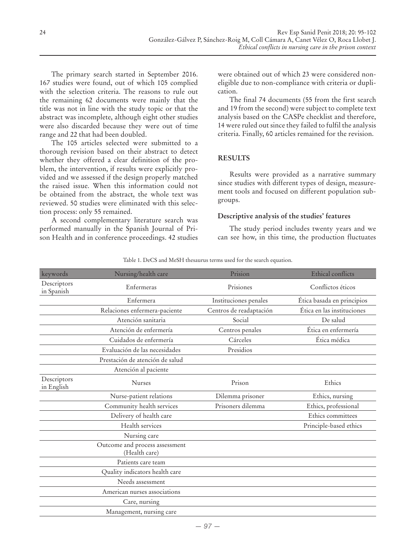The primary search started in September 2016. 167 studies were found, out of which 105 complied with the selection criteria. The reasons to rule out the remaining 62 documents were mainly that the title was not in line with the study topic or that the abstract was incomplete, although eight other studies were also discarded because they were out of time range and 22 that had been doubled.

The 105 articles selected were submitted to a thorough revision based on their abstract to detect whether they offered a clear definition of the problem, the intervention, if results were explicitly provided and we assessed if the design properly matched the raised issue. When this information could not be obtained from the abstract, the whole text was reviewed. 50 studies were eliminated with this selection process: only 55 remained.

A second complementary literature search was performed manually in the Spanish Journal of Prison Health and in conference proceedings. 42 studies were obtained out of which 23 were considered noneligible due to non-compliance with criteria or duplication.

The final 74 documents (55 from the first search and 19 from the second) were subject to complete text analysis based on the CASPe checklist and therefore, 14 were ruled out since they failed to fulfil the analysis criteria. Finally, 60 articles remained for the revision.

## **RESULTS**

Results were provided as a narrative summary since studies with different types of design, measurement tools and focused on different population subgroups.

## **Descriptive analysis of the studies' features**

The study period includes twenty years and we can see how, in this time, the production fluctuates

| keywords                  | Nursing/health care                             | Prision                 | Ethical conflicts          |
|---------------------------|-------------------------------------------------|-------------------------|----------------------------|
| Descriptors<br>in Spanish | Prisiones<br>Enfermeras                         |                         | Conflictos éticos          |
|                           | Enfermera                                       | Instituciones penales   | Ética basada en principios |
|                           | Relaciones enfermera-paciente                   | Centros de readaptación | Ética en las instituciones |
|                           | Atención sanitaria                              | Social                  | De salud                   |
|                           | Atención de enfermería                          | Centros penales         | Ética en enfermería        |
|                           | Cuidados de enfermería                          | Cárceles                | Ética médica               |
|                           | Evaluación de las necesidades                   | Presidios               |                            |
|                           | Prestación de atención de salud                 |                         |                            |
|                           | Atención al paciente                            |                         |                            |
| Descriptors<br>in English | <b>Nurses</b>                                   | Prison                  | Ethics                     |
|                           | Nurse-patient relations                         | Dilemma prisoner        | Ethics, nursing            |
|                           | Community health services                       | Prisoners dilemma       | Ethics, professional       |
|                           | Delivery of health care                         |                         | Ethics committees          |
|                           | Health services                                 |                         | Principle-based ethics     |
|                           | Nursing care                                    |                         |                            |
|                           | Outcome and process assessment<br>(Health care) |                         |                            |
|                           | Patients care team                              |                         |                            |
|                           | Quality indicators health care                  |                         |                            |
|                           | Needs assessment                                |                         |                            |
|                           | American nurses associations                    |                         |                            |
|                           | Care, nursing                                   |                         |                            |
|                           | Management, nursing care                        |                         |                            |

Table 1. DeCS and MeSH thesaurus terms used for the search equation.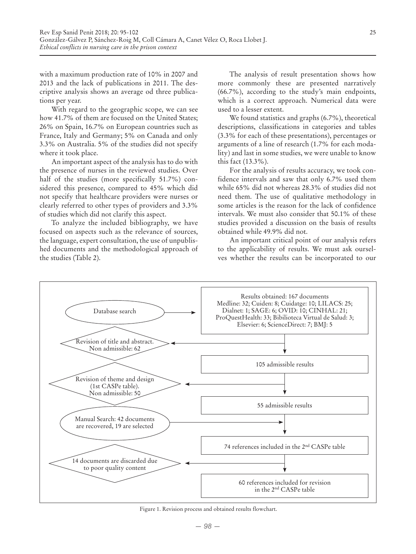with a maximum production rate of 10% in 2007 and 2013 and the lack of publications in 2011. The descriptive analysis shows an average od three publications per year.

With regard to the geographic scope, we can see how 41.7% of them are focused on the United States; 26% on Spain, 16.7% on European countries such as France, Italy and Germany; 5% on Canada and only 3.3% on Australia. 5% of the studies did not specify where it took place.

An important aspect of the analysis has to do with the presence of nurses in the reviewed studies. Over half of the studies (more specifically 51.7%) considered this presence, compared to 45% which did not specify that healthcare providers were nurses or clearly referred to other types of providers and 3.3% of studies which did not clarify this aspect.

To analyze the included bibliography, we have focused on aspects such as the relevance of sources, the language, expert consultation, the use of unpublished documents and the methodological approach of the studies (Table 2).

The analysis of result presentation shows how more commonly these are presented narratively (66.7%), according to the study's main endpoints, which is a correct approach. Numerical data were used to a lesser extent.

We found statistics and graphs (6.7%), theoretical descriptions, classifications in categories and tables (3.3% for each of these presentations), percentages or arguments of a line of research (1.7% for each modality) and last in some studies, we were unable to know this fact (13.3%).

For the analysis of results accuracy, we took confidence intervals and saw that only 6.7% used them while 65% did not whereas 28.3% of studies did not need them. The use of qualitative methodology in some articles is the reason for the lack of confidence intervals. We must also consider that 50.1% of these studies provided a discussion on the basis of results obtained while 49.9% did not.

An important critical point of our analysis refers to the applicability of results. We must ask ourselves whether the results can be incorporated to our



Figure 1. Revision process and obtained results flowchart.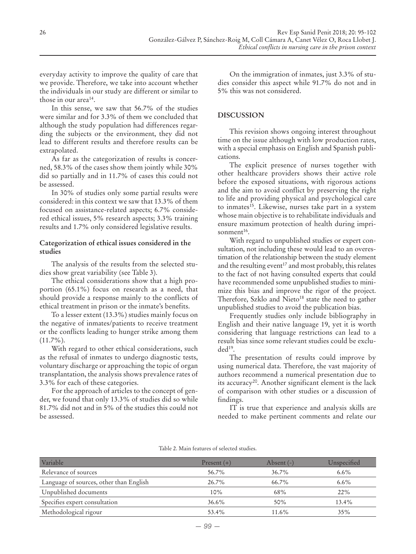everyday activity to improve the quality of care that we provide. Therefore, we take into account whether the individuals in our study are different or similar to those in our area14.

In this sense, we saw that 56.7% of the studies were similar and for 3.3% of them we concluded that although the study population had differences regarding the subjects or the environment, they did not lead to different results and therefore results can be extrapolated.

As far as the categorization of results is concerned, 58.3% of the cases show them jointly while 30% did so partially and in 11.7% of cases this could not be assessed.

In 30% of studies only some partial results were considered: in this context we saw that 13.3% of them focused on assistance-related aspects; 6.7% considered ethical issues, 5% research aspects; 3.3% training results and 1.7% only considered legislative results.

## **Categorization of ethical issues considered in the studies**

The analysis of the results from the selected studies show great variability (see Table 3).

The ethical considerations show that a high proportion (65.1%) focus on research as a need, that should provide a response mainly to the conflicts of ethical treatment in prison or the inmate's benefits.

To a lesser extent (13.3%) studies mainly focus on the negative of inmates/patients to receive treatment or the conflicts leading to hunger strike among them  $(11.7\%)$ .

With regard to other ethical considerations, such as the refusal of inmates to undergo diagnostic tests, voluntary discharge or approaching the topic of organ transplantation, the analysis shows prevalence rates of 3.3% for each of these categories.

For the approach of articles to the concept of gender, we found that only 13.3% of studies did so while 81.7% did not and in 5% of the studies this could not be assessed.

On the immigration of inmates, just 3.3% of studies consider this aspect while 91.7% do not and in 5% this was not considered.

# **DISCUSSION**

This revision shows ongoing interest throughout time on the issue although with low production rates, with a special emphasis on English and Spanish publications.

The explicit presence of nurses together with other healthcare providers shows their active role before the exposed situations, with rigorous actions and the aim to avoid conflict by preserving the right to life and providing physical and psychological care to inmates<sup>15</sup>. Likewise, nurses take part in a system whose main objective is to rehabilitate individuals and ensure maximum protection of health during imprisonment<sup>16</sup>.

With regard to unpublished studies or expert consultation, not including these would lead to an overestimation of the relationship between the study element and the resulting event<sup>17</sup> and most probably, this relates to the fact of not having consulted experts that could have recommended some unpublished studies to minimize this bias and improve the rigor of the project. Therefore, Szklo and Nieto<sup>18</sup> state the need to gather unpublished studies to avoid the publication bias.

Frequently studies only include bibliography in English and their native language 19, yet it is worth considering that language restrictions can lead to a result bias since some relevant studies could be excluded19.

The presentation of results could improve by using numerical data. Therefore, the vast majority of authors recommend a numerical presentation due to its accuracy20. Another significant element is the lack of comparison with other studies or a discussion of findings.

IT is true that experience and analysis skills are needed to make pertinent comments and relate our

| Variable                                | Present $(+)$ | Absent $(-)$ | Unspecified |
|-----------------------------------------|---------------|--------------|-------------|
| Relevance of sources                    | 56.7%         | $36.7\%$     | $6.6\%$     |
| Language of sources, other than English | $26.7\%$      | $66.7\%$     | $6.6\%$     |
| Unpublished documents                   | 10%           | 68%          | 22%         |
| Specifies expert consultation           | 36.6%         | 50%          | 13.4%       |
| Methodological rigour                   | 53.4%         | 11.6%        | 35%         |

#### Table 2. Main features of selected studies.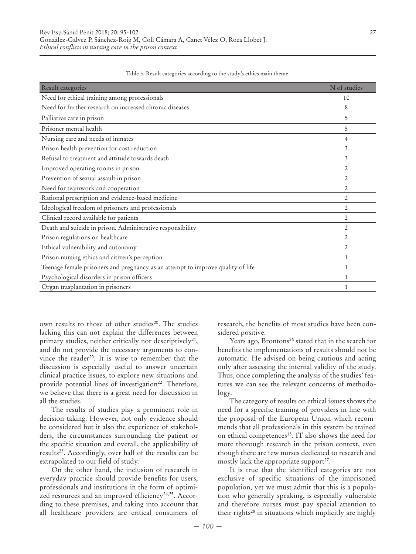| Result categories                                                               | N of studies   |
|---------------------------------------------------------------------------------|----------------|
| Need for ethical training among professionals                                   | 10             |
| Need for further research on increased chronic diseases                         | 8              |
| Palliative care in prison                                                       | 5              |
| Prisoner mental health                                                          | 5              |
| Nursing care and needs of inmates                                               | 4              |
| Prison health prevention for cost reduction                                     | 3              |
| Refusal to treatment and attitude towards death                                 | 3              |
| Improved operating rooms in prison                                              | $\overline{2}$ |
| Prevention of sexual assault in prison                                          | 2              |
| Need for teamwork and cooperation                                               | $\overline{2}$ |
| Rational prescription and evidence-based medicine                               | $\overline{2}$ |
| Ideological freedom of prisoners and professionals                              | $\overline{2}$ |
| Clinical record available for patients                                          | $\overline{2}$ |
| Death and suicide in prison. Administrative responsibility                      | $\overline{2}$ |
| Prison regulations on healthcare                                                | $\overline{2}$ |
| Ethical vulnerability and autonomy                                              | $\overline{2}$ |
| Prison nursing ethics and citizen's perception                                  | 1              |
| Teenage female prisoners and pregnancy as an attempt to improve quality of life | 1              |
| Psychological disorders in prison officers                                      | 1              |
| Organ trasplantation in prisoners                                               |                |

Table 3. Result categories according to the study's ethics main theme.

own results to those of other studies<sup>20</sup>. The studies lacking this can not explain the differences between primary studies, neither critically nor descriptively<sup>21</sup>, and do not provide the necessary arguments to convince the reader<sup>20</sup>. It is wise to remember that the discussion is especially useful to answer uncertain clinical practice issues, to explore new situations and provide potential lines of investigation<sup>22</sup>. Therefore, we believe that there is a great need for discussion in all the studies.

The results of studies play a prominent role in decision-taking. However, not only evidence should be considered but it also the experience of stakeholders, the circumstances surrounding the patient or the specific situation and overall, the applicability of results<sup>23</sup>. Accordingly, over half of the results can be extrapolated to our field of study.

On the other hand, the inclusion of research in everyday practice should provide benefits for users, professionals and institutions in the form of optimized resources and an improved efficiency<sup>24,25</sup>. According to these premises, and taking into account that all healthcare providers are critical consumers of research, the benefits of most studies have been considered positive.

Years ago, Brontons<sup>26</sup> stated that in the search for benefits the implementations of results should not be automatic. He advised on being cautious and acting only after assessing the internal validity of the study. Thus, once completing the analysis of the studies' features we can see the relevant concerns of methodology.

The category of results on ethical issues shows the need for a specific training of providers in line with the proposal of the European Union which recommends that all professionals in this system be trained on ethical competences<sup>15</sup>. IT also shows the need for more thorough research in the prison context, even though there are few nurses dedicated to research and mostly lack the appropriate support<sup>27</sup>.

It is true that the identified categories are not exclusive of specific situations of the imprisoned population, yet we must admit that this is a population who generally speaking, is especially vulnerable and therefore nurses must pay special attention to their rights28 in situations which implicitly are highly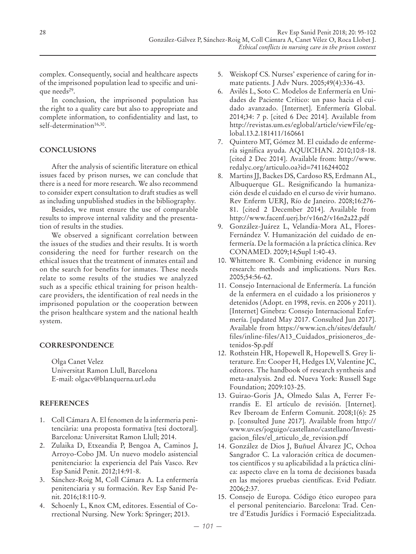complex. Consequently, social and healthcare aspects of the imprisoned population lead to specific and unique needs<sup>29</sup>.

In conclusion, the imprisoned population has the right to a quality care but also to appropriate and complete information, to confidentiality and last, to self-determination<sup>16,30</sup>.

# **CONCLUSIONS**

After the analysis of scientific literature on ethical issues faced by prison nurses, we can conclude that there is a need for more research. We also recommend to consider expert consultation to draft studies as well as including unpublished studies in the bibliography.

Besides, we must ensure the use of comparable results to improve internal validity and the presentation of results in the studies.

We observed a significant correlation between the issues of the studies and their results. It is worth considering the need for further research on the ethical issues that the treatment of inmates entail and on the search for benefits for inmates. These needs relate to some results of the studies we analyzed such as a specific ethical training for prison healthcare providers, the identification of real needs in the imprisoned population or the cooperation between the prison healthcare system and the national health system.

# **CORRESPONDENCE**

Olga Canet Velez Universitat Ramon Llull, Barcelona E-mail: olgacv@blanquerna.url.edu

## **REFERENCES**

- 1. Coll Cámara A. El fenomen de la infermeria penitenciària: una proposta formativa [tesi doctoral]. Barcelona: Universitat Ramon Llull; 2014.
- 2. Zulaika D, Etxeandia P, Bengoa A, Caminos J, Arroyo-Cobo JM. Un nuevo modelo asistencial penitenciario: la experiencia del País Vasco. Rev Esp Sanid Penit. 2012;14:91-8.
- 3. Sánchez-Roig M, Coll Cámara A. La enfermería penitenciaria y su formación. Rev Esp Sanid Penit. 2016;18:110-9.
- 4. Schoenly L, Knox CM, editores. Essential of Correctional Nursing. New York: Springer; 2013.
- 5. Weiskopf CS. Nurses' experience of caring for inmate patients. J Adv Nurs. 2005;49(4):336-43.
- 6. Avilés L, Soto C. Modelos de Enfermería en Unidades de Paciente Crítico: un paso hacia el cuidado avanzado. [Internet]. Enfermería Global. 2014;34: 7 p. [cited 6 Dec 2014]. Available from http://revistas.um.es/eglobal/article/viewFile/eglobal.13.2.181411/160661
- 7. Quintero MT, Gómez M. El cuidado de enfermería significa ayuda. AQUICHAN. 2010;10:8-18. [cited 2 Dec 2014]. Available from: http://www. redalyc.org/articulo.oa?id=74116244002
- 8. Martins JJ, Backes DS, Cardoso RS, Erdmann AL, Albuquerque GL. Resignificando la humanización desde el cuidado en el curso de vivir humano. Rev Enferm UERJ, Río de Janeiro. 2008;16:276- 81. [cited 2 December 2014]. Available from http://www.facenf.uerj.br/v16n2/v16n2a22.pdf
- 9. González-Juárez L, Velandia-Mora AL, Flores-Fernández V. Humanización del cuidado de enfermería. De la formación a la práctica clínica. Rev CONAMED. 2009;14;Supl 1:40-43.
- 10. Whittemore R. Combining evidence in nursing research: methods and implications. Nurs Res. 2005;54:56-62.
- 11. Consejo Internacional de Enfermería. La función de la enfermera en el cuidado a los prisioneros y detenidos (Adopt. en 1998, revis. en 2006 y 2011). [Internet] Ginebra: Consejo Internacional Enfermería. [updated May 2017. Consulted Jun 2017]. Available from https://www.icn.ch/sites/default/ files/inline-files/A13\_Cuidados\_prisioneros\_detenidos-Sp.pdf
- 12. Rothstein HR, Hopewell R, Hopewell S. Grey literature. En: Cooper H, Hedges LV, Valentine JC, editores. The handbook of research synthesis and meta-analysis. 2nd ed. Nueva York: Russell Sage Foundation; 2009:103-25.
- 13. Guirao-Goris JA, Olmedo Salas A, Ferrer Ferrandis E. El artículo de revisión. [Internet]. Rev Iberoam de Enferm Comunit. 2008;1(6): 25 p. [consulted June 2017]. Available from http:// www.uv.es/joguigo/castellano/castellano/Investigacion\_files/el\_articulo\_de\_revision.pdf
- 14. González de Dios J, Buñuel Álvarez JC, Ochoa Sangrador C. La valoración crítica de documentos científicos y su aplicabilidad a la práctica clínica: aspecto clave en la toma de decisiones basada en las mejores pruebas científicas. Evid Pediatr. 2006;2:37.
- 15. Consejo de Europa. Código ético europeo para el personal penitenciario. Barcelona: Trad. Centre d'Estudis Jurídics i Formació Especialitzada.